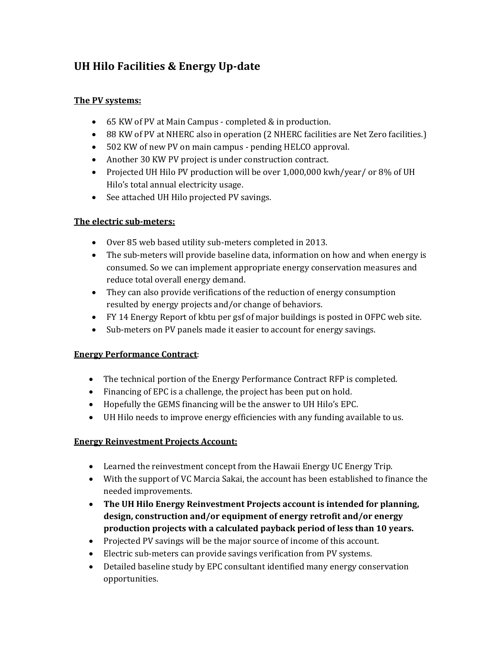## **UH Hilo Facilities & Energy Up‐date**

#### **The PV systems:**

- 65 KW of PV at Main Campus completed & in production.
- 88 KW of PV at NHERC also in operation (2 NHERC facilities are Net Zero facilities.)
- 502 KW of new PV on main campus pending HELCO approval.
- Another 30 KW PV project is under construction contract.
- Projected UH Hilo PV production will be over 1,000,000 kwh/year/ or 8% of UH Hilo's total annual electricity usage.
- See attached UH Hilo projected PV savings.

### **The electric sub‐meters:**

- Over 85 web based utility sub-meters completed in 2013.
- The sub-meters will provide baseline data, information on how and when energy is consumed. So we can implement appropriate energy conservation measures and reduce total overall energy demand.
- They can also provide verifications of the reduction of energy consumption resulted by energy projects and/or change of behaviors.
- FY 14 Energy Report of kbtu per gsf of major buildings is posted in OFPC web site.
- Sub-meters on PV panels made it easier to account for energy savings.

### **Energy Performance Contract**:

- $\bullet$  The technical portion of the Energy Performance Contract RFP is completed.
- Financing of EPC is a challenge, the project has been put on hold.
- Hopefully the GEMS financing will be the answer to UH Hilo's EPC.
- UH Hilo needs to improve energy efficiencies with any funding available to us.

### **Energy Reinvestment Projects Account:**

- $\bullet$  Learned the reinvestment concept from the Hawaii Energy UC Energy Trip.
- With the support of VC Marcia Sakai, the account has been established to finance the needed improvements.
- **The UH Hilo Energy Reinvestment Projects account is intended for planning, design, construction and/or equipment of energy retrofit and/or energy production projects with a calculated payback period of less than 10 years.**
- Projected PV savings will be the major source of income of this account.
- Electric sub-meters can provide savings verification from PV systems.
- Detailed baseline study by EPC consultant identified many energy conservation opportunities.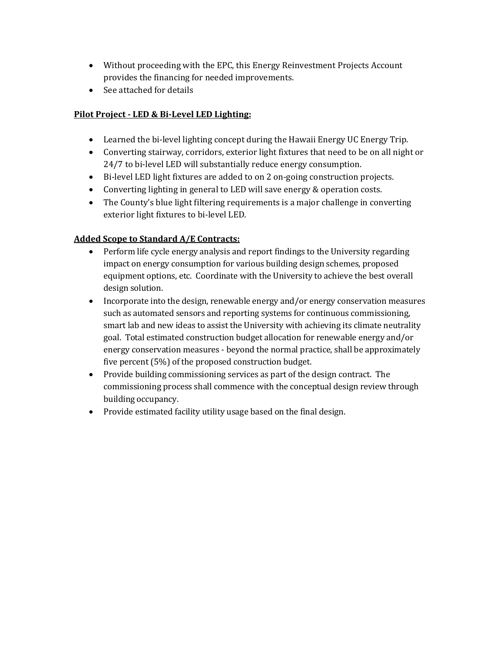- Without proceeding with the EPC, this Energy Reinvestment Projects Account provides the financing for needed improvements.
- See attached for details

#### **Pilot Project ‐ LED & Bi‐Level LED Lighting:**

- Learned the bi-level lighting concept during the Hawaii Energy UC Energy Trip.
- Converting stairway, corridors, exterior light fixtures that need to be on all night or 24/7 to bi-level LED will substantially reduce energy consumption.
- Bi-level LED light fixtures are added to on 2 on-going construction projects.
- Converting lighting in general to LED will save energy & operation costs.
- The County's blue light filtering requirements is a major challenge in converting exterior light fixtures to bi-level LED.

### **Added Scope to Standard A/E Contracts:**

- Perform life cycle energy analysis and report findings to the University regarding impact on energy consumption for various building design schemes, proposed equipment options, etc. Coordinate with the University to achieve the best overall design solution.
- Incorporate into the design, renewable energy and/or energy conservation measures such as automated sensors and reporting systems for continuous commissioning, smart lab and new ideas to assist the University with achieving its climate neutrality goal. Total estimated construction budget allocation for renewable energy and/or energy conservation measures - beyond the normal practice, shall be approximately five percent  $(5%)$  of the proposed construction budget.
- Provide building commissioning services as part of the design contract. The commissioning process shall commence with the conceptual design review through building occupancy.
- Provide estimated facility utility usage based on the final design.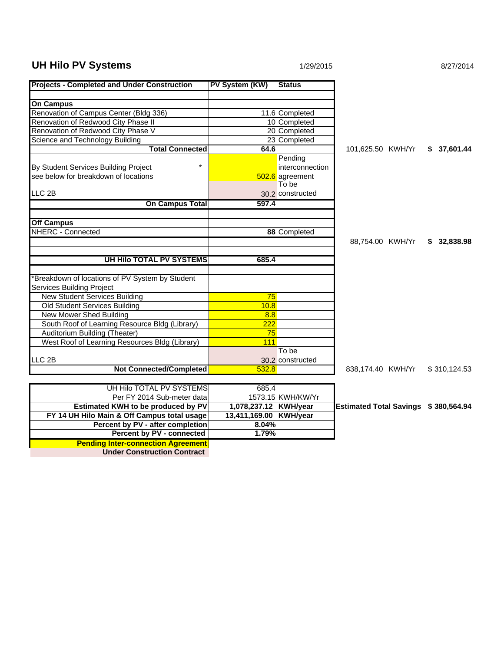# **UH Hilo PV Systems 1/29/2015 1/29/2015 8/27/2014**

| <b>Projects - Completed and Under Construction</b> | PV System (KW)         | <b>Status</b>          |                                      |              |
|----------------------------------------------------|------------------------|------------------------|--------------------------------------|--------------|
|                                                    |                        |                        |                                      |              |
| <b>On Campus</b>                                   |                        |                        |                                      |              |
| Renovation of Campus Center (Bldg 336)             |                        | 11.6 Completed         |                                      |              |
| Renovation of Redwood City Phase II                |                        | 10 Completed           |                                      |              |
| Renovation of Redwood City Phase V                 |                        | 20 Completed           |                                      |              |
| Science and Technology Building                    |                        | 23 Completed           |                                      |              |
| <b>Total Connected</b>                             | 64.6                   |                        | 101,625.50 KWH/Yr                    | \$37,601.44  |
|                                                    |                        | Pending                |                                      |              |
| By Student Services Building Project               |                        | <i>interconnection</i> |                                      |              |
| see below for breakdown of locations               |                        | 502.6 agreement        |                                      |              |
|                                                    |                        | To be                  |                                      |              |
| LLC <sub>2B</sub>                                  |                        | 30.2 constructed       |                                      |              |
| <b>On Campus Total</b>                             | 597.4                  |                        |                                      |              |
|                                                    |                        |                        |                                      |              |
| <b>Off Campus</b>                                  |                        |                        |                                      |              |
| <b>NHERC - Connected</b>                           |                        | 88 Completed           |                                      |              |
|                                                    |                        |                        | 88,754.00 KWH/Yr                     | \$32,838.98  |
|                                                    |                        |                        |                                      |              |
| UH Hilo TOTAL PV SYSTEMS                           | 685.4                  |                        |                                      |              |
|                                                    |                        |                        |                                      |              |
| Breakdown of locations of PV System by Student     |                        |                        |                                      |              |
| Services Building Project                          |                        |                        |                                      |              |
| <b>New Student Services Building</b>               | 75                     |                        |                                      |              |
| Old Student Services Building                      | 10.8                   |                        |                                      |              |
| <b>New Mower Shed Building</b>                     | 8.8                    |                        |                                      |              |
| South Roof of Learning Resource Bldg (Library)     | $\frac{222}{256}$      |                        |                                      |              |
| Auditorium Building (Theater)                      | 75                     |                        |                                      |              |
| West Roof of Learning Resources Bldg (Library)     | 111                    |                        |                                      |              |
|                                                    |                        | To be                  |                                      |              |
| LLC <sub>2B</sub>                                  |                        | 30.2 constructed       |                                      |              |
| <b>Not Connected/Completed</b>                     | 532.8                  |                        | 838,174.40 KWH/Yr                    | \$310,124.53 |
|                                                    |                        |                        |                                      |              |
| UH Hilo TOTAL PV SYSTEMS                           | 685.4                  |                        |                                      |              |
| Per FY 2014 Sub-meter data                         |                        | 1573.15 KWH/KW/Yr      |                                      |              |
| Estimated KWH to be produced by PV                 | 1,078,237.12 KWH/year  |                        | Estimated Total Savings \$380,564.94 |              |
| FY 14 UH Hilo Main & Off Campus total usage        | 13,411,169.00 KWH/year |                        |                                      |              |
| Percent by PV - after completion                   | 8.04%                  |                        |                                      |              |
| Percent by PV - connected                          | 1.79%                  |                        |                                      |              |
| <b>Pending Inter-connection Agreement</b>          |                        |                        |                                      |              |

**Under Construction Contract**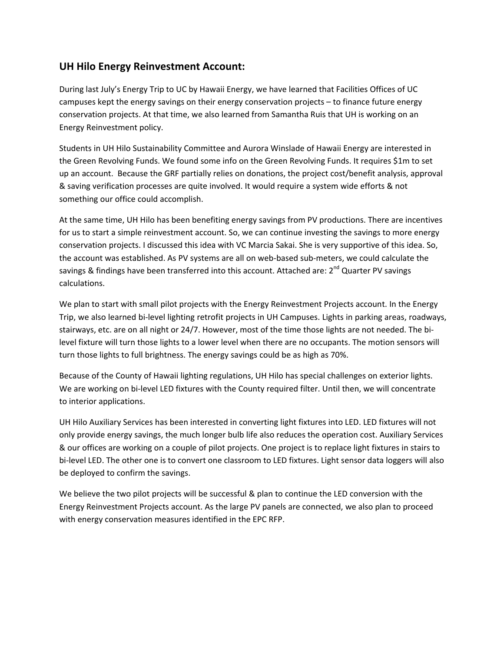## **UH Hilo Energy Reinvestment Account:**

During last July's Energy Trip to UC by Hawaii Energy, we have learned that Facilities Offices of UC campuses kept the energy savings on their energy conservation projects – to finance future energy conservation projects. At that time, we also learned from Samantha Ruis that UH is working on an Energy Reinvestment policy.

Students in UH Hilo Sustainability Committee and Aurora Winslade of Hawaii Energy are interested in the Green Revolving Funds. We found some info on the Green Revolving Funds. It requires \$1m to set up an account. Because the GRF partially relies on donations, the project cost/benefit analysis, approval & saving verification processes are quite involved. It would require a system wide efforts & not something our office could accomplish.

At the same time, UH Hilo has been benefiting energy savings from PV productions. There are incentives for us to start a simple reinvestment account. So, we can continue investing the savings to more energy conservation projects. I discussed this idea with VC Marcia Sakai. She is very supportive of this idea. So, the account was established. As PV systems are all on web‐based sub‐meters, we could calculate the savings & findings have been transferred into this account. Attached are:  $2^{nd}$  Quarter PV savings calculations.

We plan to start with small pilot projects with the Energy Reinvestment Projects account. In the Energy Trip, we also learned bi‐level lighting retrofit projects in UH Campuses. Lights in parking areas, roadways, stairways, etc. are on all night or 24/7. However, most of the time those lights are not needed. The bi‐ level fixture will turn those lights to a lower level when there are no occupants. The motion sensors will turn those lights to full brightness. The energy savings could be as high as 70%.

Because of the County of Hawaii lighting regulations, UH Hilo has special challenges on exterior lights. We are working on bi-level LED fixtures with the County required filter. Until then, we will concentrate to interior applications.

UH Hilo Auxiliary Services has been interested in converting light fixtures into LED. LED fixtures will not only provide energy savings, the much longer bulb life also reduces the operation cost. Auxiliary Services & our offices are working on a couple of pilot projects. One project is to replace light fixtures in stairs to bi-level LED. The other one is to convert one classroom to LED fixtures. Light sensor data loggers will also be deployed to confirm the savings.

We believe the two pilot projects will be successful & plan to continue the LED conversion with the Energy Reinvestment Projects account. As the large PV panels are connected, we also plan to proceed with energy conservation measures identified in the EPC RFP.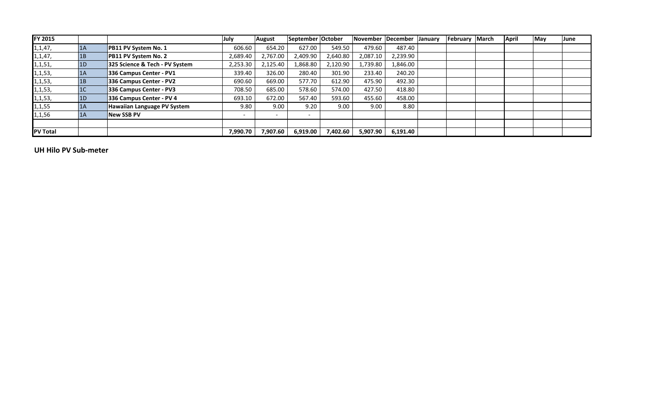| FY 2015         |                |                                | July     | <b>August</b> | September October |            | November   December |          | <b>January</b> | February | March | April | May | June |
|-----------------|----------------|--------------------------------|----------|---------------|-------------------|------------|---------------------|----------|----------------|----------|-------|-------|-----|------|
| 1, 1, 47,       | 1A             | PB11 PV System No. 1           | 606.60   | 654.20        | 627.00            | 549.50     | 479.60              | 487.40   |                |          |       |       |     |      |
| 1, 1, 47,       | 1B             | PB11 PV System No. 2           | 2,689.40 | 2,767.00      | 2,409.90          | 2,640.80   | 2,087.10            | 2,239.90 |                |          |       |       |     |      |
| 1,1,51,         | 1 <sub>D</sub> | 325 Science & Tech - PV System | 2,253.30 | 2,125.40      | .868.80           | 2,120.90   | 1,739.80            | l,846.00 |                |          |       |       |     |      |
| 1,1,53,         | 1A             | 336 Campus Center - PV1        | 339.40   | 326.00        | 280.40            | 301.90     | 233.40              | 240.20   |                |          |       |       |     |      |
| 1,1,53,         | 1B             | 336 Campus Center - PV2        | 690.60   | 669.00        | 577.70            | 612.90     | 475.90              | 492.30   |                |          |       |       |     |      |
| 1, 1, 53,       | 1 <sup>C</sup> | 336 Campus Center - PV3        | 708.50   | 685.00        | 578.60            | 574.00     | 427.50              | 418.80   |                |          |       |       |     |      |
| 1,1,53,         | 1 <sub>D</sub> | 336 Campus Center - PV 4       | 693.10   | 672.00        | 567.40            | 593.60     | 455.60              | 458.00   |                |          |       |       |     |      |
| 1,1,55          | 1A             | Hawaiian Language PV System    | 9.80     | 9.00          | 9.20              | 9.00       | 9.00                | 8.80     |                |          |       |       |     |      |
| 1,1,56          | 1A             | <b>New SSB PV</b>              |          |               |                   |            |                     |          |                |          |       |       |     |      |
|                 |                |                                |          |               |                   |            |                     |          |                |          |       |       |     |      |
| <b>PV Total</b> |                |                                | 7,990.70 | 7,907.60      | 6,919.00          | 7.402.60 l | 5,907.90            | 6,191.40 |                |          |       |       |     |      |

**UH Hilo PV Sub‐meter**